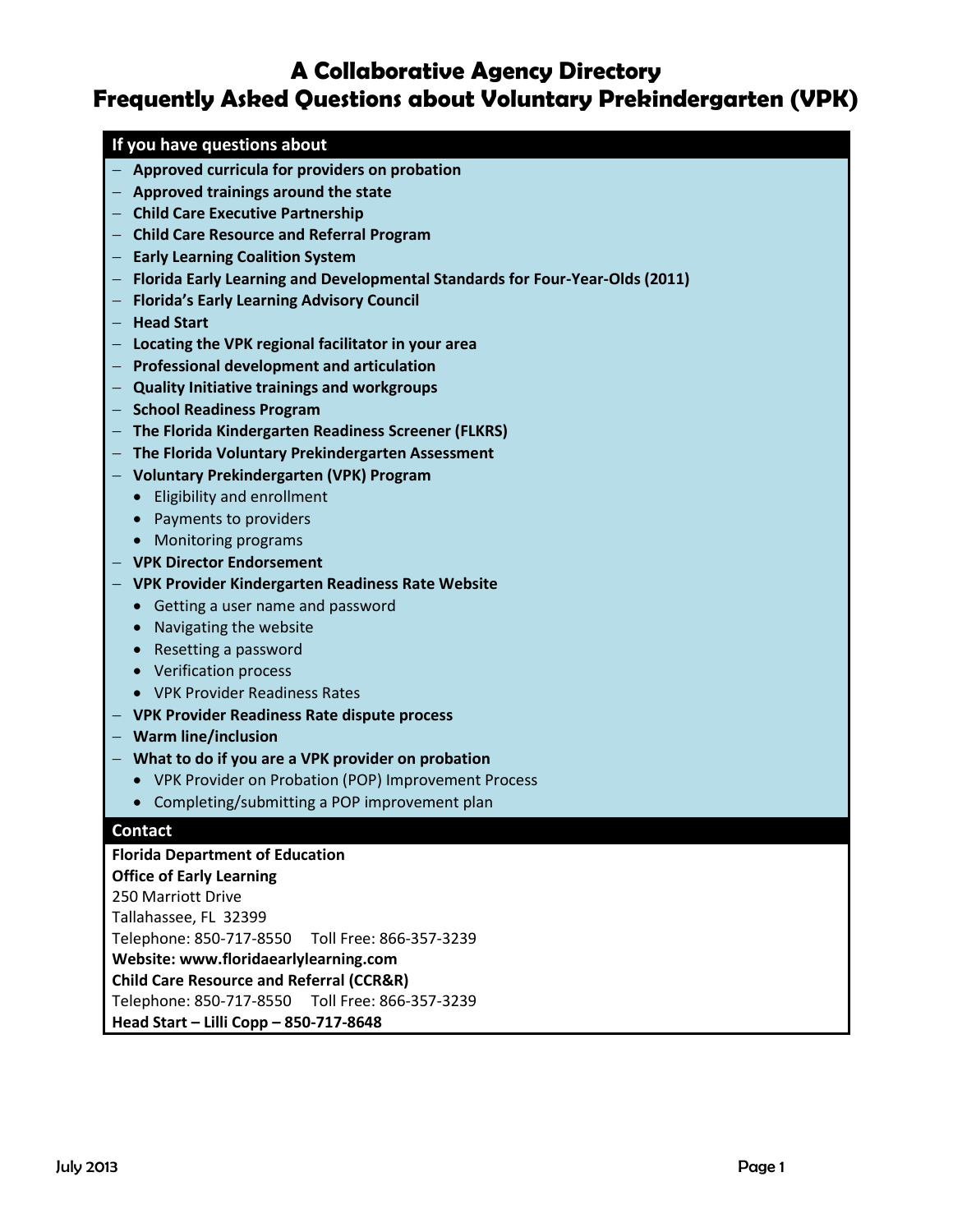# **A Collaborative Agency Directory Frequently Asked Questions about Voluntary Prekindergarten (VPK)**

## **If you have questions about**

- **Approved curricula for providers on probation**
- **Approved trainings around the state**
- **Child Care Executive Partnership**
- **Child Care Resource and Referral Program**
- **Early Learning Coalition System**
- **Florida Early Learning and Developmental Standards for Four-Year-Olds (2011)**
- **Florida's Early Learning Advisory Council**
- $-$  **Head Start**
- **Locating the VPK regional facilitator in your area**
- **Professional development and articulation**
- **Quality Initiative trainings and workgroups**
- $-$  School Readiness Program
- **The Florida Kindergarten Readiness Screener (FLKRS)**
- **The Florida Voluntary Prekindergarten Assessment**
- **Voluntary Prekindergarten (VPK) Program**
	- Eligibility and enrollment
	- Payments to providers
	- Monitoring programs
- **VPK Director Endorsement**
- **VPK Provider Kindergarten Readiness Rate Website**
	- Getting a user name and password
	- Navigating the website
	- Resetting a password
	- Verification process
	- VPK Provider Readiness Rates
- **VPK Provider Readiness Rate dispute process**
- **Warm line/inclusion**
- **What to do if you are a VPK provider on probation**
	- VPK Provider on Probation (POP) Improvement Process
	- Completing/submitting a POP improvement plan

### **Contact**

**Florida Department of Education Office of Early Learning** 250 Marriott Drive Tallahassee, FL 32399 Telephone: 850-717-8550 Toll Free: 866-357-3239 **Website: [www.floridaearlylearning.com](http://www.floridaearlylearning.com/) Child Care Resource and Referral (CCR&R)** Telephone: 850-717-8550 Toll Free: 866-357-3239 **Head Start – Lilli Copp – 850-717-8648**